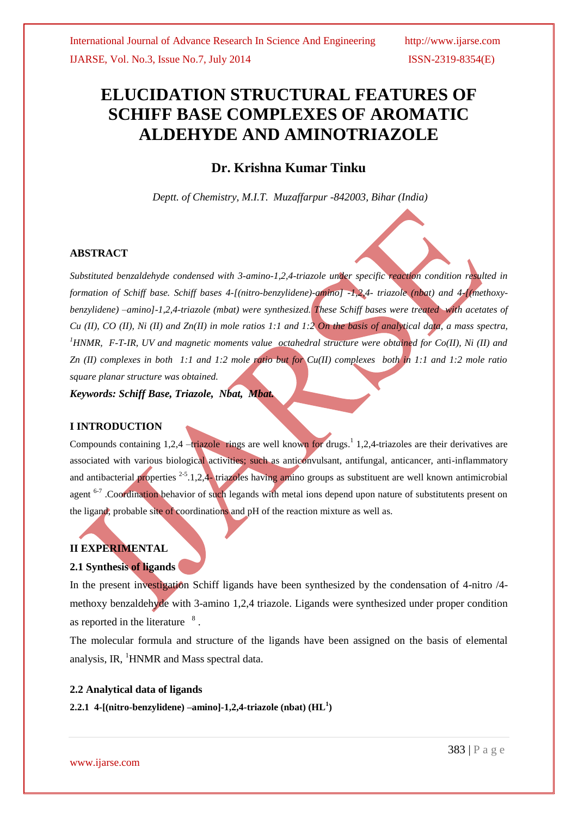# **ELUCIDATION STRUCTURAL FEATURES OF SCHIFF BASE COMPLEXES OF AROMATIC ALDEHYDE AND AMINOTRIAZOLE**

## **Dr. Krishna Kumar Tinku**

*Deptt. of Chemistry, M.I.T. Muzaffarpur -842003, Bihar (India)*

#### **ABSTRACT**

*Substituted benzaldehyde condensed with 3-amino-1,2,4-triazole under specific reaction condition resulted in formation of Schiff base. Schiff bases 4-[(nitro-benzylidene)-amino] -1,2,4- triazole (nbat) and 4-[(methoxybenzylidene) –amino]-1,2,4-triazole (mbat) were synthesized. These Schiff bases were treated with acetates of Cu (II), CO (II), Ni (II) and Zn(II) in mole ratios 1:1 and 1:2 On the basis of analytical data, a mass spectra, <sup>1</sup>HNMR, F-T-IR, UV and magnetic moments value octahedral structure were obtained for Co(II), Ni (II) and Zn (II) complexes in both 1:1 and 1:2 mole ratio but for Cu(II) complexes both in 1:1 and 1:2 mole ratio square planar structure was obtained.* 

*Keywords: Schiff Base, Triazole, Nbat, Mbat.*

#### **I INTRODUCTION**

Compounds containing 1,2,4 -triazole rings are well known for drugs.<sup>1</sup> 1,2,4-triazoles are their derivatives are associated with various biological activities; such as anticonvulsant, antifungal, anticancer, anti-inflammatory and antibacterial properties  $2-5.1,2,4$ -triazoles having amino groups as substituent are well known antimicrobial agent <sup>6-7</sup>. Coordination behavior of such legands with metal ions depend upon nature of substitutents present on the ligand, probable site of coordinations and pH of the reaction mixture as well as.

### **II EXPERIMENTAL**

### **2.1 Synthesis of ligands**

In the present investigation Schiff ligands have been synthesized by the condensation of 4-nitro /4 methoxy benzaldehyde with 3-amino 1,2,4 triazole. Ligands were synthesized under proper condition as reported in the literature  $8$ .

The molecular formula and structure of the ligands have been assigned on the basis of elemental analysis, IR, <sup>1</sup>HNMR and Mass spectral data.

#### **2.2 Analytical data of ligands**

**2.2.1 4-[(nitro-benzylidene) –amino]-1,2,4-triazole (nbat) (HL<sup>1</sup> )**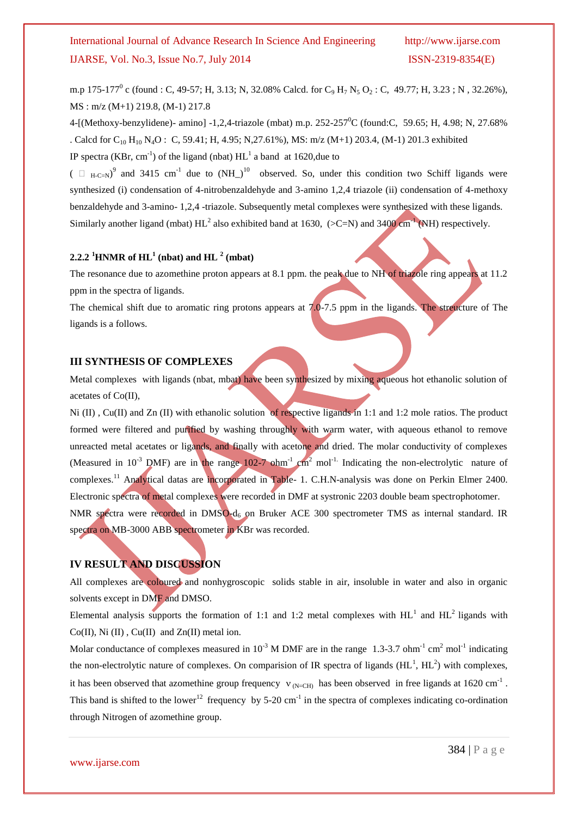## International Journal of Advance Research In Science And Engineering http://www.ijarse.com IJARSE, Vol. No.3, Issue No.7, July 2014 ISSN-2319-8354(E)

m.p 175-177<sup>0</sup> c (found : C, 49-57; H, 3.13; N, 32.08% Calcd. for C<sub>9</sub> H<sub>7</sub> N<sub>5</sub> O<sub>2</sub> : C, 49.77; H, 3.23; N, 32.26%), MS : m/z (M+1) 219.8, (M-1) 217.8

4-[(Methoxy-benzylidene)- amino] -1,2,4-triazole (mbat) m.p. 252-257<sup>0</sup>C (found:C, 59.65; H, 4.98; N, 27.68% . Calcd for C<sub>10</sub> H<sub>10</sub> N<sub>4</sub>O : C, 59.41; H, 4.95; N,27.61%), MS: m/z (M+1) 203.4, (M-1) 201.3 exhibited IP spectra (KBr, cm<sup>-1</sup>) of the ligand (nbat)  $HL<sup>1</sup>$  a band at 1620, due to

 $($   $\Box$  <sub>H-C=N</sub>)<sup>9</sup> and 3415 cm<sup>-1</sup> due to  $(NH_1)^{10}$  observed. So, under this condition two Schiff ligands were synthesized (i) condensation of 4-nitrobenzaldehyde and 3-amino 1,2,4 triazole (ii) condensation of 4-methoxy benzaldehyde and 3-amino- 1,2,4 -triazole. Subsequently metal complexes were synthesized with these ligands. Similarly another ligand (mbat)  $HL^2$  also exhibited band at 1630, (>C=N) and 3400 cm<sup>-1</sup> (NH) respectively.

## **2.2.2 <sup>1</sup>HNMR of**  $HL$ **<sup>1</sup>** (nbat) and  $HL$ <sup>2</sup> (mbat)

The resonance due to azomethine proton appears at 8.1 ppm. the peak due to NH of triazole ring appears at 11.2 ppm in the spectra of ligands.

The chemical shift due to aromatic ring protons appears at 7.0-7.5 ppm in the ligands. The streucture of The ligands is a follows.

## **III SYNTHESIS OF COMPLEXES**

Metal complexes with ligands (nbat, mbat) have been synthesized by mixing aqueous hot ethanolic solution of acetates of Co(II),

Ni (II), Cu(II) and Zn (II) with ethanolic solution of respective ligands in 1:1 and 1:2 mole ratios. The product formed were filtered and purified by washing throughly with warm water, with aqueous ethanol to remove unreacted metal acetates or ligands, and finally with acetone and dried. The molar conductivity of complexes (Measured in  $10^{-3}$  DMF) are in the range  $102$ -7 ohm<sup>-1</sup> cm<sup>2</sup> mol<sup>-1.</sup> Indicating the non-electrolytic nature of complexes.<sup>11</sup> Analytical datas are incorporated in Table- 1. C.H.N-analysis was done on Perkin Elmer 2400. Electronic spectra of metal complexes were recorded in DMF at systronic 2203 double beam spectrophotomer. NMR spectra were recorded in DMSO-d<sub>6</sub> on Bruker ACE 300 spectrometer TMS as internal standard. IR spectra on MB-3000 ABB spectrometer in KBr was recorded.

## **IV RESULT AND DISCUSSION**

All complexes are coloured and nonhygroscopic solids stable in air, insoluble in water and also in organic solvents except in DMF and DMSO.

Elemental analysis supports the formation of 1:1 and 1:2 metal complexes with  $HL^1$  and  $HL^2$  ligands with  $Co(II)$ , Ni  $(II)$ ,  $Cu(II)$  and  $Zn(II)$  metal ion.

Molar conductance of complexes measured in  $10^{-3}$  M DMF are in the range 1.3-3.7 ohm<sup>-1</sup> cm<sup>2</sup> mol<sup>-1</sup> indicating the non-electrolytic nature of complexes. On comparision of IR spectra of ligands  $(HL<sup>1</sup>, HL<sup>2</sup>)$  with complexes, it has been observed that azomethine group frequency  $v_{(N=CH)}$  has been observed in free ligands at 1620 cm<sup>-1</sup>. This band is shifted to the lower<sup>12</sup> frequency by 5-20 cm<sup>-1</sup> in the spectra of complexes indicating co-ordination through Nitrogen of azomethine group.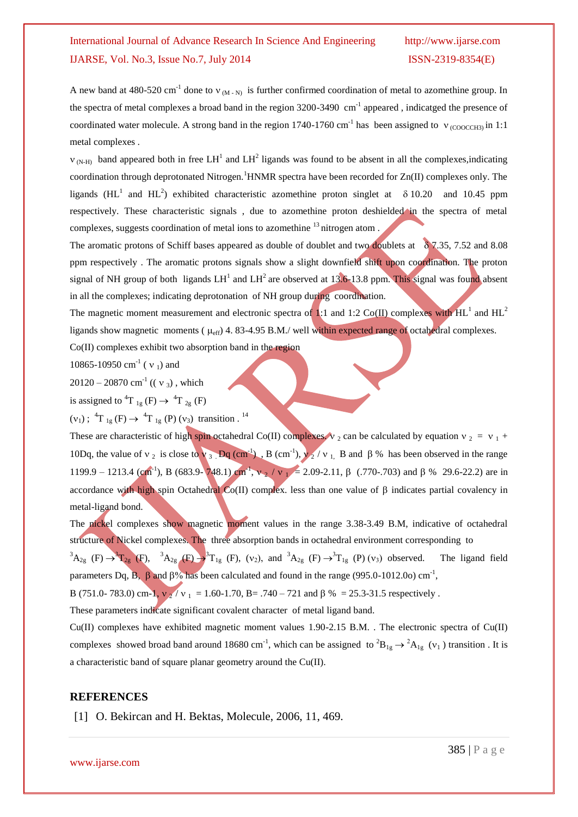## International Journal of Advance Research In Science And Engineering http://www.ijarse.com IJARSE, Vol. No.3, Issue No.7, July 2014 ISSN-2319-8354(E)

A new band at 480-520 cm<sup>-1</sup> done to  $v_{(M-N)}$  is further confirmed coordination of metal to azomethine group. In the spectra of metal complexes a broad band in the region 3200-3490 cm<sup>-1</sup> appeared, indicatged the presence of coordinated water molecule. A strong band in the region 1740-1760 cm<sup>-1</sup> has been assigned to  $v_{(COOCH3)}$  in 1:1 metal complexes .

 $v_{(N-H)}$  band appeared both in free LH<sup>1</sup> and LH<sup>2</sup> ligands was found to be absent in all the complexes, indicating coordination through deprotonated Nitrogen.<sup>1</sup>HNMR spectra have been recorded for  $Zn(II)$  complexes only. The ligands (HL<sup>1</sup> and HL<sup>2</sup>) exhibited characteristic azomethine proton singlet at  $\delta$  10.20 and 10.45 ppm respectively. These characteristic signals , due to azomethine proton deshielded in the spectra of metal complexes, suggests coordination of metal ions to azomethine <sup>13</sup> nitrogen atom .

The aromatic protons of Schiff bases appeared as double of doublet and two doublets at  $87.35$ , 7.52 and 8.08 ppm respectively . The aromatic protons signals show a slight downfield shift upon coordination. The proton signal of NH group of both ligands  $LH^1$  and  $LH^2$  are observed at 13.6-13.8 ppm. This signal was found absent in all the complexes; indicating deprotonation of NH group during coordination.

The magnetic moment measurement and electronic spectra of 1:1 and 1:2 Co(II) complexes with HL<sup>1</sup> and HL<sup>2</sup> ligands show magnetic moments ( $\mu_{eff}$ ) 4. 83-4.95 B.M./ well within expected range of octahedral complexes.

Co(II) complexes exhibit two absorption band in the region

10865-10950 cm<sup>-1</sup> ( $v_1$ ) and

 $20120 - 20870$  cm<sup>-1</sup> (( $v_3$ ), which

is assigned to  ${}^{4}T_{1g}$  (F)  $\rightarrow {}^{4}T_{2g}$  (F)

 $(v_1)$ ; <sup>4</sup>T <sub>1g</sub> (F)  $\rightarrow$  <sup>4</sup>T <sub>1g</sub> (P) ( $v_3$ ) transition . <sup>14</sup>

These are characteristic of high spin octahedral Co(II) complexes.  $v_2$  can be calculated by equation  $v_2 = v_1 + v_2$ 10Dq, the value of  $v_2$  is close to  $v_3$ . Dq (cm<sup>-1</sup>), B (cm<sup>-1</sup>),  $v_2/v_1$ , B and  $\beta$ % has been observed in the range 1199.9 – 1213.4 (cm<sup>-1</sup>), B (683.9- 748.1) cm<sup>-1</sup>, ν<sub>-2</sub> / ν<sub>-1</sub> = 2.09-2.11, β (.770-.703) and β % 29.6-22.2) are in accordance with high spin Octahedral Co(II) complex. less than one value of  $\beta$  indicates partial covalency in metal-ligand bond.

The nickel complexes show magnetic moment values in the range 3.38-3.49 B.M, indicative of octahedral structure of Nickel complexes. The three absorption bands in octahedral environment corresponding to

 ${}^{3}A_{2g}$  (F)  $\rightarrow {}^{3}T_{2g}$  (F),  ${}^{3}A_{2g}$  (F)  $\rightarrow {}^{3}T_{1g}$  (F), (v<sub>2</sub>), and  ${}^{3}A_{2g}$  (F)  $\rightarrow {}^{3}T_{1g}$  (P) (v<sub>3</sub>) observed. The ligand field parameters Dq, B,  $\beta$  and  $\beta\%$  has been calculated and found in the range (995.0-1012.0o) cm<sup>-1</sup>,

B (751.0- 783.0) cm-1,  $v_0/v_1 = 1.60$ -1.70, B= .740 – 721 and  $\beta$  % = 25.3-31.5 respectively.

These parameters indicate significant covalent character of metal ligand band.

Cu(II) complexes have exhibited magnetic moment values 1.90-2.15 B.M. . The electronic spectra of Cu(II) complexes showed broad band around 18680 cm<sup>-1</sup>, which can be assigned to  ${}^{2}B_{1g} \rightarrow {}^{2}A_{1g}$  ( $v_1$ ) transition. It is a characteristic band of square planar geometry around the Cu(II).

#### **REFERENCES**

[1] O. Bekircan and H. Bektas, Molecule, 2006, 11, 469.